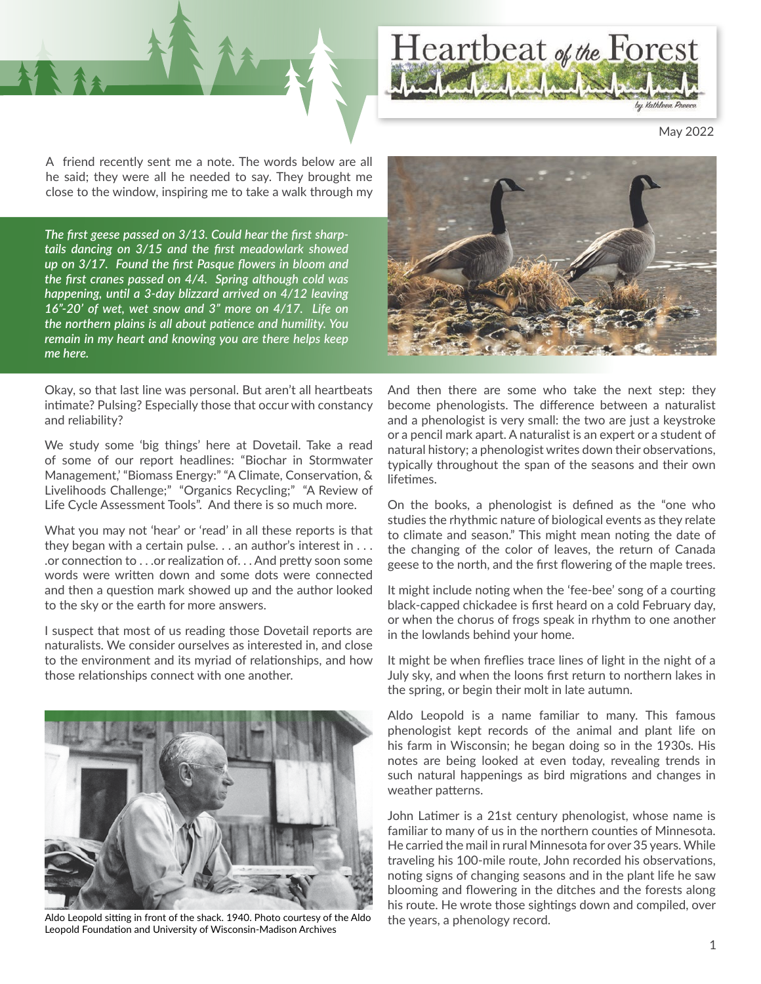

May 2022

A friend recently sent me a note. The words below are all he said; they were all he needed to say. They brought me close to the window, inspiring me to take a walk through my

*The first geese passed on 3/13. Could hear the first sharptails dancing on 3/15 and the first meadowlark showed up on 3/17. Found the first Pasque flowers in bloom and the first cranes passed on 4/4. Spring although cold was happening, until a 3-day blizzard arrived on 4/12 leaving 16"-20' of wet, wet snow and 3" more on 4/17. Life on the northern plains is all about patience and humility. You remain in my heart and knowing you are there helps keep me here.*

Okay, so that last line was personal. But aren't all heartbeats intimate? Pulsing? Especially those that occur with constancy and reliability?

We study some 'big things' here at Dovetail. Take a read of some of our report headlines: "Biochar in Stormwater Management,' "Biomass Energy:" "A Climate, Conservation, & Livelihoods Challenge;" "Organics Recycling;" "A Review of Life Cycle Assessment Tools". And there is so much more.

What you may not 'hear' or 'read' in all these reports is that they began with a certain pulse.  $\ldots$  an author's interest in  $\ldots$ .or connection to . . .or realization of. . . And pretty soon some words were written down and some dots were connected and then a question mark showed up and the author looked to the sky or the earth for more answers.

I suspect that most of us reading those Dovetail reports are naturalists. We consider ourselves as interested in, and close to the environment and its myriad of relationships, and how those relationships connect with one another.



Aldo Leopold sitting in front of the shack. 1940. Photo courtesy of the Aldo Leopold Foundation and University of Wisconsin-Madison Archives



And then there are some who take the next step: they become phenologists. The difference between a naturalist and a phenologist is very small: the two are just a keystroke or a pencil mark apart. A naturalist is an expert or a student of natural history; a phenologist writes down their observations, typically throughout the span of the seasons and their own lifetimes.

On the books, a phenologist is defined as the "one who studies the rhythmic nature of biological events as they relate to climate and season." This might mean noting the date of the changing of the color of leaves, the return of Canada geese to the north, and the first flowering of the maple trees.

It might include noting when the 'fee-bee' song of a courting black-capped chickadee is first heard on a cold February day, or when the chorus of frogs speak in rhythm to one another in the lowlands behind your home.

It might be when fireflies trace lines of light in the night of a July sky, and when the loons first return to northern lakes in the spring, or begin their molt in late autumn.

Aldo Leopold is a name familiar to many. This famous phenologist kept records of the animal and plant life on his farm in Wisconsin; he began doing so in the 1930s. His notes are being looked at even today, revealing trends in such natural happenings as bird migrations and changes in weather patterns.

John Latimer is a 21st century phenologist, whose name is familiar to many of us in the northern counties of Minnesota. He carried the mail in rural Minnesota for over 35 years. While traveling his 100-mile route, John recorded his observations, noting signs of changing seasons and in the plant life he saw blooming and flowering in the ditches and the forests along his route. He wrote those sightings down and compiled, over the years, a phenology record.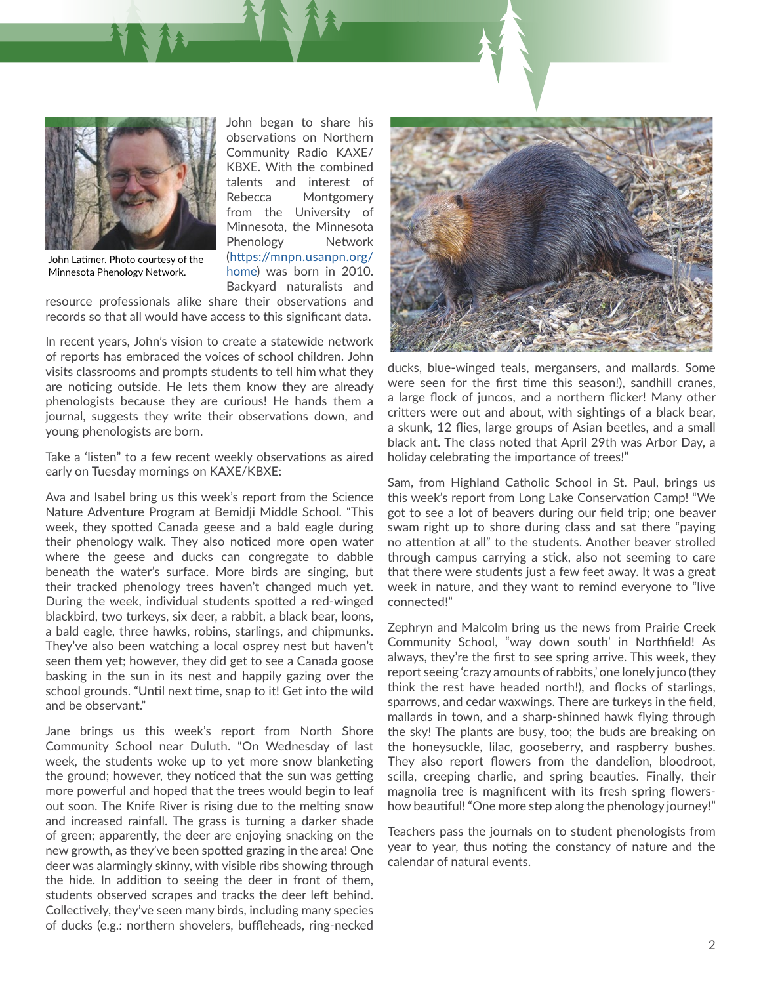

John began to share his observations on Northern Community Radio KAXE/ KBXE. With the combined talents and interest of Rebecca Montgomery from the University of Minnesota, the Minnesota Phenology Network ([https://mnpn.usanpn.org/](https://mnpn.usanpn.org/home) [home](https://mnpn.usanpn.org/home)) was born in 2010. Backyard naturalists and

John Latimer. Photo courtesy of the Minnesota Phenology Network.

resource professionals alike share their observations and records so that all would have access to this significant data.

In recent years, John's vision to create a statewide network of reports has embraced the voices of school children. John visits classrooms and prompts students to tell him what they are noticing outside. He lets them know they are already phenologists because they are curious! He hands them a journal, suggests they write their observations down, and young phenologists are born.

Take a 'listen" to a few recent weekly observations as aired early on Tuesday mornings on KAXE/KBXE:

Ava and Isabel bring us this week's report from the Science Nature Adventure Program at Bemidji Middle School. "This week, they spotted Canada geese and a bald eagle during their phenology walk. They also noticed more open water where the geese and ducks can congregate to dabble beneath the water's surface. More birds are singing, but their tracked phenology trees haven't changed much yet. During the week, individual students spotted a red-winged blackbird, two turkeys, six deer, a rabbit, a black bear, loons, a bald eagle, three hawks, robins, starlings, and chipmunks. They've also been watching a local osprey nest but haven't seen them yet; however, they did get to see a Canada goose basking in the sun in its nest and happily gazing over the school grounds. "Until next time, snap to it! Get into the wild and be observant."

Jane brings us this week's report from North Shore Community School near Duluth. "On Wednesday of last week, the students woke up to yet more snow blanketing the ground; however, they noticed that the sun was getting more powerful and hoped that the trees would begin to leaf out soon. The Knife River is rising due to the melting snow and increased rainfall. The grass is turning a darker shade of green; apparently, the deer are enjoying snacking on the new growth, as they've been spotted grazing in the area! One deer was alarmingly skinny, with visible ribs showing through the hide. In addition to seeing the deer in front of them, students observed scrapes and tracks the deer left behind. Collectively, they've seen many birds, including many species of ducks (e.g.: northern shovelers, buffleheads, ring-necked



ducks, blue-winged teals, mergansers, and mallards. Some were seen for the first time this season!), sandhill cranes, a large flock of juncos, and a northern flicker! Many other critters were out and about, with sightings of a black bear, a skunk, 12 flies, large groups of Asian beetles, and a small black ant. The class noted that April 29th was Arbor Day, a holiday celebrating the importance of trees!"

Sam, from Highland Catholic School in St. Paul, brings us this week's report from Long Lake Conservation Camp! "We got to see a lot of beavers during our field trip; one beaver swam right up to shore during class and sat there "paying no attention at all" to the students. Another beaver strolled through campus carrying a stick, also not seeming to care that there were students just a few feet away. It was a great week in nature, and they want to remind everyone to "live connected!"

Zephryn and Malcolm bring us the news from Prairie Creek Community School, "way down south' in Northfield! As always, they're the first to see spring arrive. This week, they report seeing 'crazy amounts of rabbits,' one lonely junco (they think the rest have headed north!), and flocks of starlings, sparrows, and cedar waxwings. There are turkeys in the field, mallards in town, and a sharp-shinned hawk flying through the sky! The plants are busy, too; the buds are breaking on the honeysuckle, lilac, gooseberry, and raspberry bushes. They also report flowers from the dandelion, bloodroot, scilla, creeping charlie, and spring beauties. Finally, their magnolia tree is magnificent with its fresh spring flowershow beautiful! "One more step along the phenology journey!"

Teachers pass the journals on to student phenologists from year to year, thus noting the constancy of nature and the calendar of natural events.